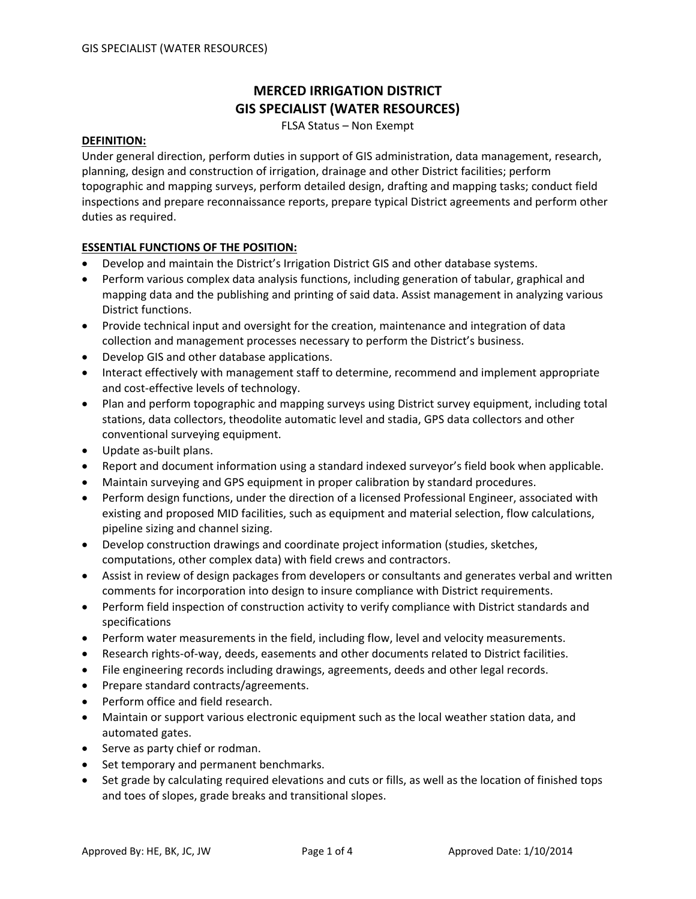# **MERCED IRRIGATION DISTRICT GIS SPECIALIST (WATER RESOURCES)**

FLSA Status – Non Exempt

#### **DEFINITION:**

Under general direction, perform duties in support of GIS administration, data management, research, planning, design and construction of irrigation, drainage and other District facilities; perform topographic and mapping surveys, perform detailed design, drafting and mapping tasks; conduct field inspections and prepare reconnaissance reports, prepare typical District agreements and perform other duties as required.

## **ESSENTIAL FUNCTIONS OF THE POSITION:**

- Develop and maintain the District's Irrigation District GIS and other database systems.
- Perform various complex data analysis functions, including generation of tabular, graphical and mapping data and the publishing and printing of said data. Assist management in analyzing various District functions.
- Provide technical input and oversight for the creation, maintenance and integration of data collection and management processes necessary to perform the District's business.
- Develop GIS and other database applications.
- Interact effectively with management staff to determine, recommend and implement appropriate and cost-effective levels of technology.
- Plan and perform topographic and mapping surveys using District survey equipment, including total stations, data collectors, theodolite automatic level and stadia, GPS data collectors and other conventional surveying equipment.
- Update as‐built plans.
- Report and document information using a standard indexed surveyor's field book when applicable.
- Maintain surveying and GPS equipment in proper calibration by standard procedures.
- Perform design functions, under the direction of a licensed Professional Engineer, associated with existing and proposed MID facilities, such as equipment and material selection, flow calculations, pipeline sizing and channel sizing.
- Develop construction drawings and coordinate project information (studies, sketches, computations, other complex data) with field crews and contractors.
- Assist in review of design packages from developers or consultants and generates verbal and written comments for incorporation into design to insure compliance with District requirements.
- Perform field inspection of construction activity to verify compliance with District standards and specifications
- Perform water measurements in the field, including flow, level and velocity measurements.
- Research rights‐of‐way, deeds, easements and other documents related to District facilities.
- File engineering records including drawings, agreements, deeds and other legal records.
- Prepare standard contracts/agreements.
- Perform office and field research.
- Maintain or support various electronic equipment such as the local weather station data, and automated gates.
- Serve as party chief or rodman.
- Set temporary and permanent benchmarks.
- Set grade by calculating required elevations and cuts or fills, as well as the location of finished tops and toes of slopes, grade breaks and transitional slopes.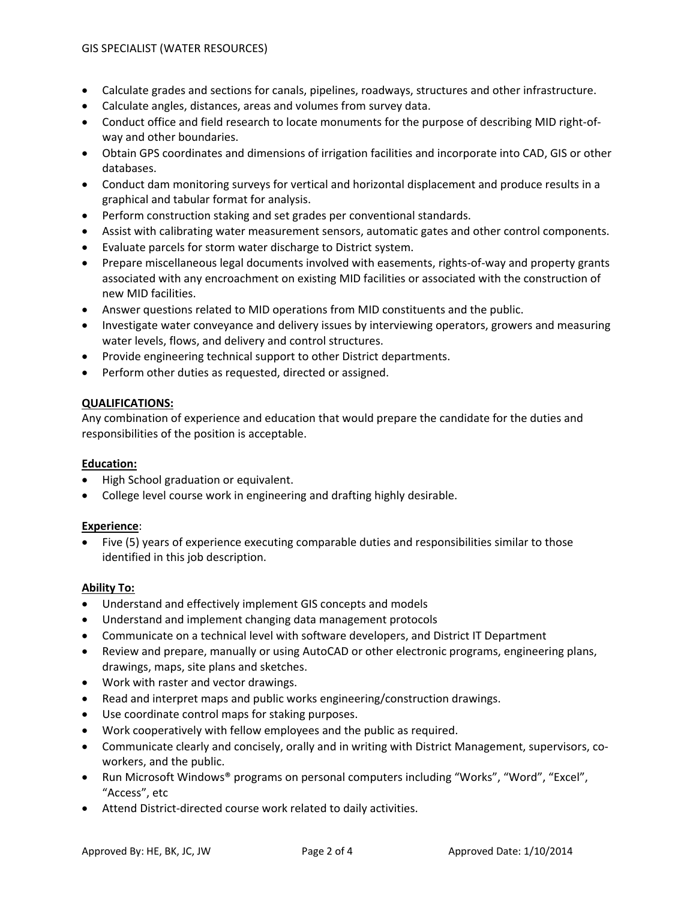- Calculate grades and sections for canals, pipelines, roadways, structures and other infrastructure.
- Calculate angles, distances, areas and volumes from survey data.
- Conduct office and field research to locate monuments for the purpose of describing MID right-ofway and other boundaries.
- Obtain GPS coordinates and dimensions of irrigation facilities and incorporate into CAD, GIS or other databases.
- Conduct dam monitoring surveys for vertical and horizontal displacement and produce results in a graphical and tabular format for analysis.
- Perform construction staking and set grades per conventional standards.
- Assist with calibrating water measurement sensors, automatic gates and other control components.
- Evaluate parcels for storm water discharge to District system.
- Prepare miscellaneous legal documents involved with easements, rights-of-way and property grants associated with any encroachment on existing MID facilities or associated with the construction of new MID facilities.
- Answer questions related to MID operations from MID constituents and the public.
- Investigate water conveyance and delivery issues by interviewing operators, growers and measuring water levels, flows, and delivery and control structures.
- Provide engineering technical support to other District departments.
- Perform other duties as requested, directed or assigned.

## **QUALIFICATIONS:**

Any combination of experience and education that would prepare the candidate for the duties and responsibilities of the position is acceptable.

## **Education:**

- High School graduation or equivalent.
- College level course work in engineering and drafting highly desirable.

## **Experience**:

• Five (5) years of experience executing comparable duties and responsibilities similar to those identified in this job description.

## **Ability To:**

- Understand and effectively implement GIS concepts and models
- Understand and implement changing data management protocols
- Communicate on a technical level with software developers, and District IT Department
- Review and prepare, manually or using AutoCAD or other electronic programs, engineering plans, drawings, maps, site plans and sketches.
- Work with raster and vector drawings.
- Read and interpret maps and public works engineering/construction drawings.
- Use coordinate control maps for staking purposes.
- Work cooperatively with fellow employees and the public as required.
- Communicate clearly and concisely, orally and in writing with District Management, supervisors, co‐ workers, and the public.
- Run Microsoft Windows® programs on personal computers including "Works", "Word", "Excel", "Access", etc
- Attend District‐directed course work related to daily activities.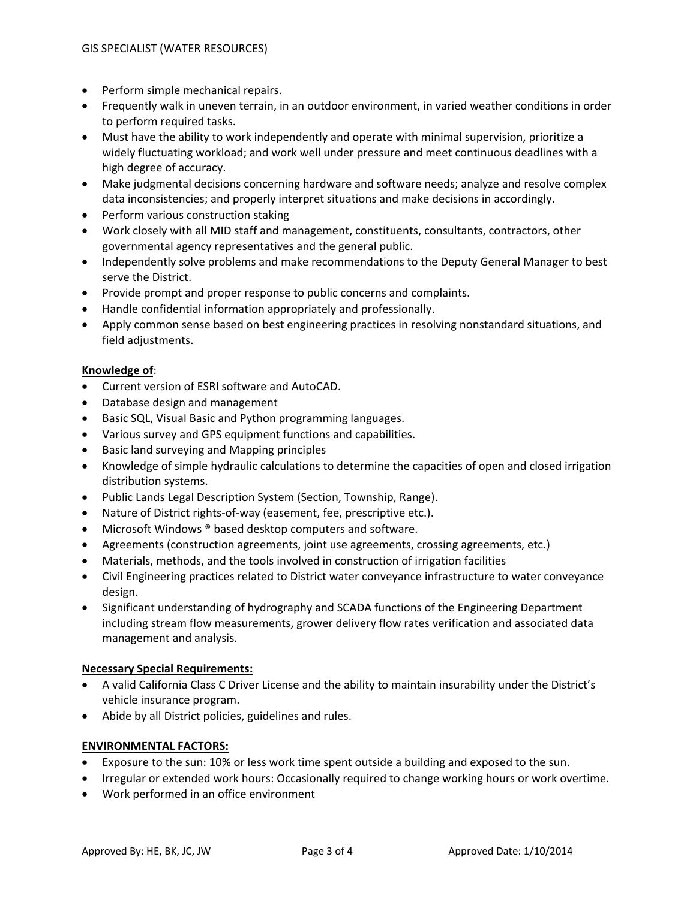- Perform simple mechanical repairs.
- Frequently walk in uneven terrain, in an outdoor environment, in varied weather conditions in order to perform required tasks.
- Must have the ability to work independently and operate with minimal supervision, prioritize a widely fluctuating workload; and work well under pressure and meet continuous deadlines with a high degree of accuracy.
- Make judgmental decisions concerning hardware and software needs; analyze and resolve complex data inconsistencies; and properly interpret situations and make decisions in accordingly.
- Perform various construction staking
- Work closely with all MID staff and management, constituents, consultants, contractors, other governmental agency representatives and the general public.
- Independently solve problems and make recommendations to the Deputy General Manager to best serve the District.
- Provide prompt and proper response to public concerns and complaints.
- Handle confidential information appropriately and professionally.
- Apply common sense based on best engineering practices in resolving nonstandard situations, and field adjustments.

## **Knowledge of**:

- Current version of ESRI software and AutoCAD.
- Database design and management
- Basic SQL, Visual Basic and Python programming languages.
- Various survey and GPS equipment functions and capabilities.
- Basic land surveying and Mapping principles
- Knowledge of simple hydraulic calculations to determine the capacities of open and closed irrigation distribution systems.
- Public Lands Legal Description System (Section, Township, Range).
- Nature of District rights-of-way (easement, fee, prescriptive etc.).
- Microsoft Windows ® based desktop computers and software.
- Agreements (construction agreements, joint use agreements, crossing agreements, etc.)
- Materials, methods, and the tools involved in construction of irrigation facilities
- Civil Engineering practices related to District water conveyance infrastructure to water conveyance design.
- Significant understanding of hydrography and SCADA functions of the Engineering Department including stream flow measurements, grower delivery flow rates verification and associated data management and analysis.

## **Necessary Special Requirements:**

- A valid California Class C Driver License and the ability to maintain insurability under the District's vehicle insurance program.
- Abide by all District policies, guidelines and rules.

## **ENVIRONMENTAL FACTORS:**

- Exposure to the sun: 10% or less work time spent outside a building and exposed to the sun.
- Irregular or extended work hours: Occasionally required to change working hours or work overtime.
- Work performed in an office environment